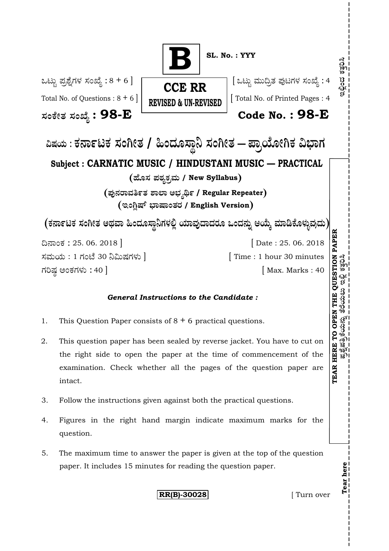

#### *General Instructions to the Candidate :*

- 1. This Question Paper consists of  $8 + 6$  practical questions.
- 2. This question paper has been sealed by reverse jacket. You have to cut on the right side to open the paper at the time of commencement of the examination. Check whether all the pages of the question paper are intact.
- 3. Follow the instructions given against both the practical questions.
- 4. Figures in the right hand margin indicate maximum marks for the question.
- 5. The maximum time to answer the paper is given at the top of the question paper. It includes 15 minutes for reading the question paper.

**RR(B)-30028** [ Turn over

**Tear here**

ಶ್ನೆಪತ್ರಿಕೆಯನ್ನು

 $\mathfrak{g}$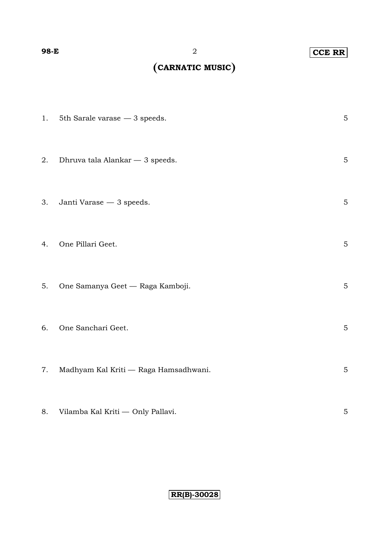### **98-E** 2 **CCE RR**

# **CARNATIC MUSIC**

|    | 1. 5th Sarale varase $-3$ speeds.     | $\mathbf 5$ |
|----|---------------------------------------|-------------|
| 2. | Dhruva tala Alankar — 3 speeds.       | $\mathbf 5$ |
| 3. | Janti Varase $-\,3$ speeds.           | $\mathbf 5$ |
| 4. | One Pillari Geet.                     | $\mathbf 5$ |
| 5. | One Samanya Geet — Raga Kamboji.      | $\mathbf 5$ |
| 6. | One Sanchari Geet.                    | $\mathbf 5$ |
| 7. | Madhyam Kal Kriti — Raga Hamsadhwani. | $\mathbf 5$ |
| 8. | Vilamba Kal Kriti - Only Pallavi.     | $\mathbf 5$ |

**RR(B)-30028**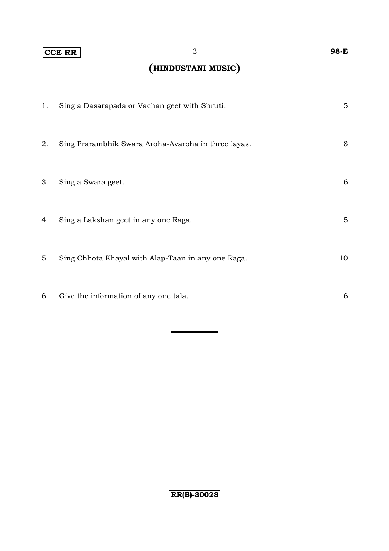### **CCE RR** 3 **98-E**

## **HINDUSTANI MUSIC**

| 1. | Sing a Dasarapada or Vachan geet with Shruti.       | $\overline{5}$ |
|----|-----------------------------------------------------|----------------|
| 2. | Sing Prarambhik Swara Aroha-Avaroha in three layas. | 8              |
| 3. | Sing a Swara geet.                                  | 6              |
| 4. | Sing a Lakshan geet in any one Raga.                | 5              |
| 5. | Sing Chhota Khayal with Alap-Taan in any one Raga.  | 10             |
| 6. | Give the information of any one tala.               | 6              |

 $\overline{\phantom{0}}$ 

## $RR(B) - 30028$